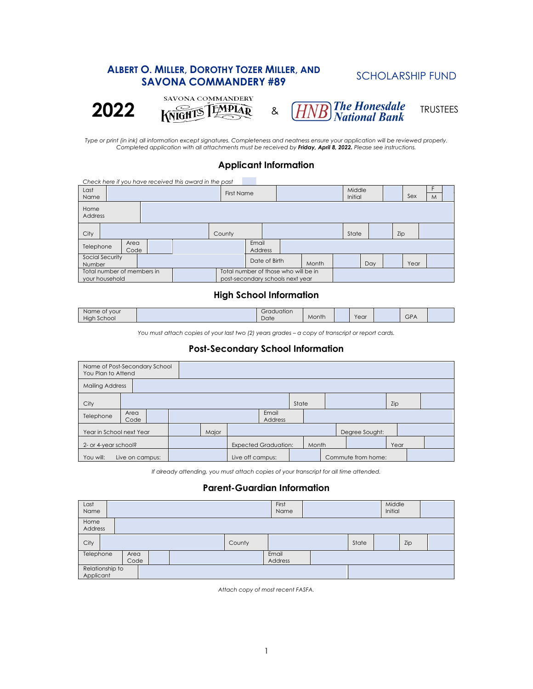# **ALBERT O. MILLER, DOROTHY TOZER MILLER, AND SAVONA COMMANDERY #89 SCHOLARSHIP FUND 2022** KNIGHTS LEAR & *HNB* The Honesdale TRUSTEES

*Type or print (in ink) all information except signatures. Completeness and neatness ensure your application will be reviewed properly. Completed application with all attachments must be received by Friday, April 8, 2022. Please see instructions.* 

# **Applicant Information**

| Check here if you have received this award in the past |  |  |  |                                                                          |        |                        |                   |  |     |       |                   |     |  |     |   |  |
|--------------------------------------------------------|--|--|--|--------------------------------------------------------------------------|--------|------------------------|-------------------|--|-----|-------|-------------------|-----|--|-----|---|--|
| Last<br>Name                                           |  |  |  |                                                                          |        |                        | <b>First Name</b> |  |     |       | Middle<br>Initial |     |  | Sex | M |  |
| Home<br>Address                                        |  |  |  |                                                                          |        |                        |                   |  |     |       |                   |     |  |     |   |  |
| City                                                   |  |  |  |                                                                          | County |                        |                   |  |     | State |                   | Zip |  |     |   |  |
| Area<br>Telephone<br>Code                              |  |  |  | Email<br>Address                                                         |        |                        |                   |  |     |       |                   |     |  |     |   |  |
| Social Security<br>Number                              |  |  |  |                                                                          |        | Date of Birth<br>Month |                   |  | Day |       | Year              |     |  |     |   |  |
| Total number of members in<br>your household           |  |  |  | Total number of those who will be in<br>post-secondary schools next year |        |                        |                   |  |     |       |                   |     |  |     |   |  |

### **High School Information**

| Name of your<br>High<br>School | $\cdots$<br>Graduation<br>Date | Month | Year | GPA |  |
|--------------------------------|--------------------------------|-------|------|-----|--|
|                                |                                |       |      |     |  |

*You must attach copies of your last two (2) years grades – a copy of transcript or report cards.* 

# **Post-Secondary School Information**

| Name of Post-Secondary School<br>You Plan to Attend |              |  |  |                             |                  |  |       |       |                |                    |      |  |  |
|-----------------------------------------------------|--------------|--|--|-----------------------------|------------------|--|-------|-------|----------------|--------------------|------|--|--|
| <b>Mailing Address</b>                              |              |  |  |                             |                  |  |       |       |                |                    |      |  |  |
| City                                                |              |  |  |                             |                  |  | State |       |                |                    | Zip  |  |  |
| Telephone                                           | Area<br>Code |  |  | Email<br><b>Address</b>     |                  |  |       |       |                |                    |      |  |  |
| Year in School next Year                            |              |  |  | Major                       |                  |  |       |       | Degree Sought: |                    |      |  |  |
| 2- or 4-year school?                                |              |  |  | <b>Expected Graduation:</b> |                  |  |       | Month |                |                    | Year |  |  |
| Live on campus:<br>You will:                        |              |  |  |                             | Live off campus: |  |       |       |                | Commute from home: |      |  |  |

*If already attending, you must attach copies of your transcript for all time attended.* 

# **Parent-Guardian Information**

| Last<br>Name                 |                           |  |  |  |        |                  | First<br>Name |  |  |  | Middle<br>Initial |  |  |
|------------------------------|---------------------------|--|--|--|--------|------------------|---------------|--|--|--|-------------------|--|--|
| Home<br>Address              |                           |  |  |  |        |                  |               |  |  |  |                   |  |  |
| City                         |                           |  |  |  | County |                  |               |  |  |  | Zip               |  |  |
|                              | Telephone<br>Area<br>Code |  |  |  |        | Email<br>Address |               |  |  |  |                   |  |  |
| Relationship to<br>Applicant |                           |  |  |  |        |                  |               |  |  |  |                   |  |  |

*Attach copy of most recent FASFA.*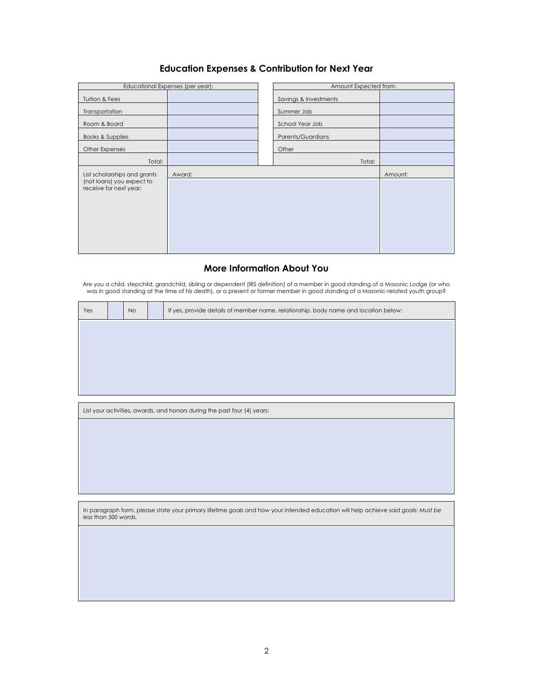# **Education Expenses & Contribution for Next Year**

|                                                                                     | Educational Expenses (per year): | Amount Expected from: |         |
|-------------------------------------------------------------------------------------|----------------------------------|-----------------------|---------|
| Tuition & Fees                                                                      |                                  | Savings & Investments |         |
| Transportation                                                                      |                                  | Summer Job            |         |
| Room & Board                                                                        |                                  | School Year Job       |         |
| Books & Supplies                                                                    |                                  | Parents/Guardians     |         |
| Other Expenses                                                                      |                                  | Other                 |         |
| Total:                                                                              |                                  | Total:                |         |
| List scholarships and grants<br>(not loans) you expect to<br>receive for next year: | Award:                           |                       | Amount: |
|                                                                                     |                                  |                       |         |

## **More Information About You**

Are you a child, stepchild, grandchild, sibling or dependent (IRS definition) of a member in good standing of a Masonic Lodge (or who<br>29 was in good standing at the time of his death), or a present or former member in good

| Yes                  | <b>No</b> | If yes, provide details of member name, relationship, body name and location below:                                               |
|----------------------|-----------|-----------------------------------------------------------------------------------------------------------------------------------|
|                      |           |                                                                                                                                   |
|                      |           |                                                                                                                                   |
|                      |           |                                                                                                                                   |
|                      |           |                                                                                                                                   |
|                      |           |                                                                                                                                   |
|                      |           | List your activities, awards, and honors during the past four (4) years:                                                          |
|                      |           |                                                                                                                                   |
|                      |           |                                                                                                                                   |
|                      |           |                                                                                                                                   |
|                      |           |                                                                                                                                   |
|                      |           |                                                                                                                                   |
|                      |           |                                                                                                                                   |
| less than 500 words. |           | In paragraph form, please state your primary lifetime goals and how your intended education will help achieve said goals: Must be |
|                      |           |                                                                                                                                   |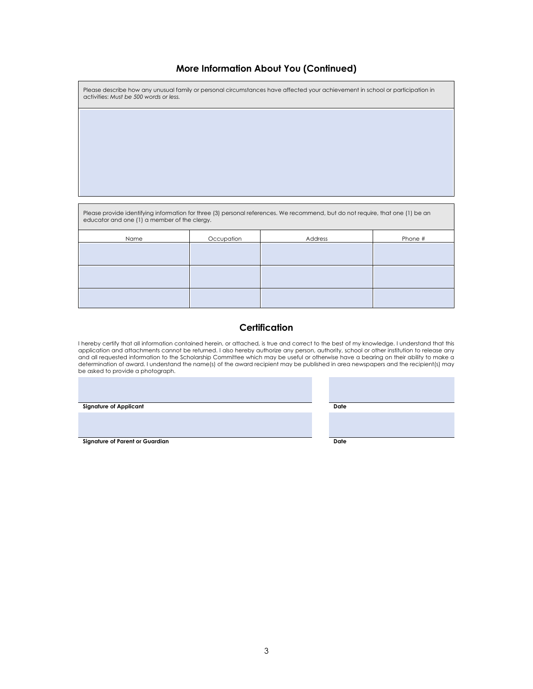#### **More Information About You (Continued)**

| Please describe how any unusual family or personal circumstances have affected your achievement in school or participation in<br>activities: Must be 500 words or less. |
|-------------------------------------------------------------------------------------------------------------------------------------------------------------------------|
|                                                                                                                                                                         |

Please provide identifying information for three (3) personal references. We recommend, but do not require, that one (1) be an educator and one (1) a member of the clergy.

| Name | Occupation | Address | Phone # |
|------|------------|---------|---------|
|      |            |         |         |
|      |            |         |         |
|      |            |         |         |
|      |            |         |         |
|      |            |         |         |
|      |            |         |         |

#### **Certification**

l hereby certify that all information contained herein, or attached, is true and correct to the best of my knowledge. I understand that this<br>application and attachments cannot be returned. I also hereby authorize any perso and all requested information to the Scholarship Committee which may be useful or otherwise have a bearing on their ability to make a determination of award. I understand the name(s) of the award recipient may be published in area newspapers and the recipient(s) may be asked to provide a photograph.

**Signature of Applicant Date** 

**Signature of Parent or Guardian Date**